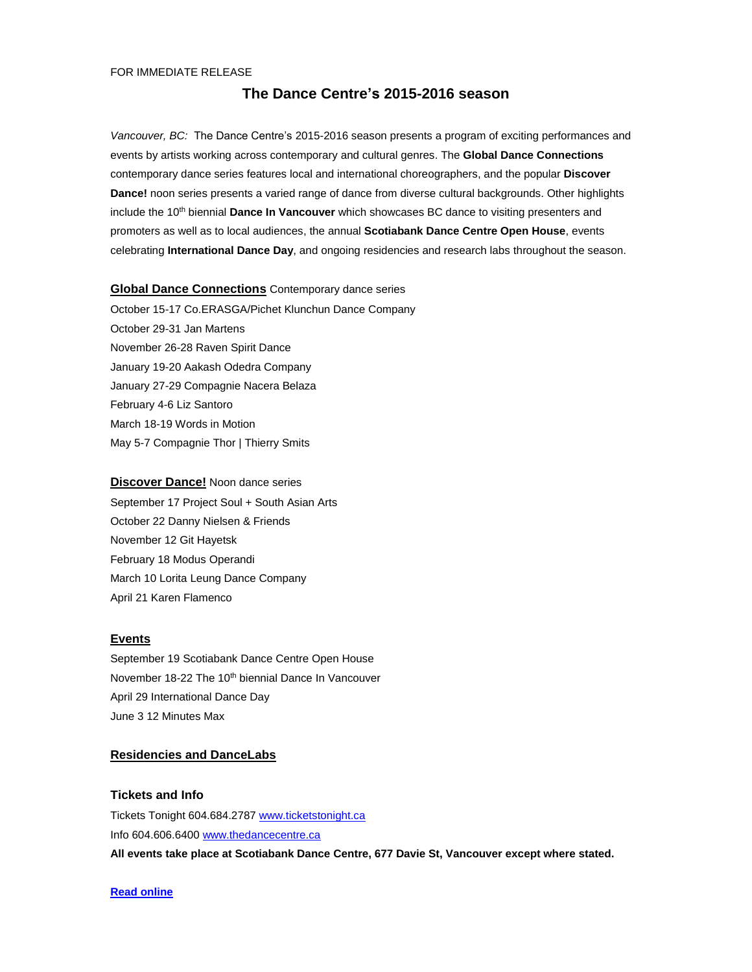# **The Dance Centre's 2015-2016 season**

*Vancouver, BC:* The Dance Centre's 2015-2016 season presents a program of exciting performances and events by artists working across contemporary and cultural genres. The **Global Dance Connections** contemporary dance series features local and international choreographers, and the popular **Discover Dance!** noon series presents a varied range of dance from diverse cultural backgrounds. Other highlights include the 10<sup>th</sup> biennial **Dance In Vancouver** which showcases BC dance to visiting presenters and promoters as well as to local audiences, the annual **Scotiabank Dance Centre Open House**, events celebrating **International Dance Day**, and ongoing residencies and research labs throughout the season.

# **Global Dance Connections** Contemporary dance series

October 15-17 Co.ERASGA/Pichet Klunchun Dance Company October 29-31 Jan Martens November 26-28 Raven Spirit Dance January 19-20 Aakash Odedra Company January 27-29 Compagnie Nacera Belaza February 4-6 Liz Santoro March 18-19 Words in Motion May 5-7 Compagnie Thor | Thierry Smits

#### **Discover Dance!** Noon dance series

September 17 Project Soul + South Asian Arts October 22 Danny Nielsen & Friends November 12 Git Hayetsk February 18 Modus Operandi March 10 Lorita Leung Dance Company April 21 Karen Flamenco

## **Events**

September 19 Scotiabank Dance Centre Open House November 18-22 The 10<sup>th</sup> biennial Dance In Vancouver April 29 International Dance Day June 3 12 Minutes Max

# **Residencies and DanceLabs**

# **Tickets and Info**

Tickets Tonight 604.684.2787 [www.ticketstonight.ca](http://www.ticketstonight.ca/) Info 604.606.6400 [www.thedancecentre.ca](http://www.thedancecentre.ca/) **All events take place at Scotiabank Dance Centre, 677 Davie St, Vancouver except where stated.**

# **[Read online](http://thedancecentre.ca/the_dance_centre_s_2015_2016_season)**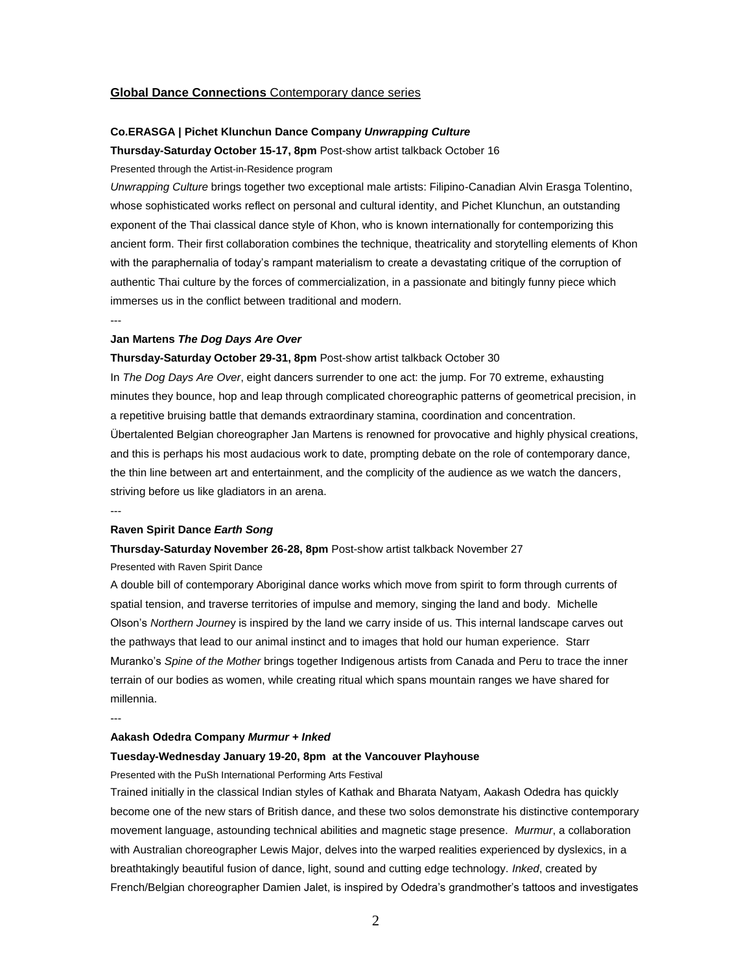#### **Global Dance Connections** Contemporary dance series

#### **Co.ERASGA | Pichet Klunchun Dance Company** *Unwrapping Culture*

**Thursday-Saturday October 15-17, 8pm** Post-show artist talkback October 16

Presented through the Artist-in-Residence program

*Unwrapping Culture* brings together two exceptional male artists: Filipino-Canadian Alvin Erasga Tolentino, whose sophisticated works reflect on personal and cultural identity, and Pichet Klunchun, an outstanding exponent of the Thai classical dance style of Khon, who is known internationally for contemporizing this ancient form. Their first collaboration combines the technique, theatricality and storytelling elements of Khon with the paraphernalia of today's rampant materialism to create a devastating critique of the corruption of authentic Thai culture by the forces of commercialization, in a passionate and bitingly funny piece which immerses us in the conflict between traditional and modern.

#### **Jan Martens** *The Dog Days Are Over*

#### **Thursday-Saturday October 29-31, 8pm** Post-show artist talkback October 30

In *The Dog Days Are Over*, eight dancers surrender to one act: the jump. For 70 extreme, exhausting minutes they bounce, hop and leap through complicated choreographic patterns of geometrical precision, in a repetitive bruising battle that demands extraordinary stamina, coordination and concentration. Übertalented Belgian choreographer Jan Martens is renowned for provocative and highly physical creations, and this is perhaps his most audacious work to date, prompting debate on the role of contemporary dance, the thin line between art and entertainment, and the complicity of the audience as we watch the dancers, striving before us like gladiators in an arena.

---

---

#### **Raven Spirit Dance** *Earth Song*

### **Thursday-Saturday November 26-28, 8pm** Post-show artist talkback November 27

Presented with Raven Spirit Dance

A double bill of contemporary Aboriginal dance works which move from spirit to form through currents of spatial tension, and traverse territories of impulse and memory, singing the land and body. Michelle Olson's *Northern Journe*y is inspired by the land we carry inside of us. This internal landscape carves out the pathways that lead to our animal instinct and to images that hold our human experience. Starr Muranko's *Spine of the Mother* brings together Indigenous artists from Canada and Peru to trace the inner terrain of our bodies as women, while creating ritual which spans mountain ranges we have shared for millennia.

---

#### **Aakash Odedra Company** *Murmur + Inked*

#### **Tuesday-Wednesday January 19-20, 8pm at the Vancouver Playhouse**

Presented with the PuSh International Performing Arts Festival

Trained initially in the classical Indian styles of Kathak and Bharata Natyam, Aakash Odedra has quickly become one of the new stars of British dance, and these two solos demonstrate his distinctive contemporary movement language, astounding technical abilities and magnetic stage presence. *Murmur*, a collaboration with Australian choreographer Lewis Major, delves into the warped realities experienced by dyslexics, in a breathtakingly beautiful fusion of dance, light, sound and cutting edge technology. *Inked*, created by French/Belgian choreographer Damien Jalet, is inspired by Odedra's grandmother's tattoos and investigates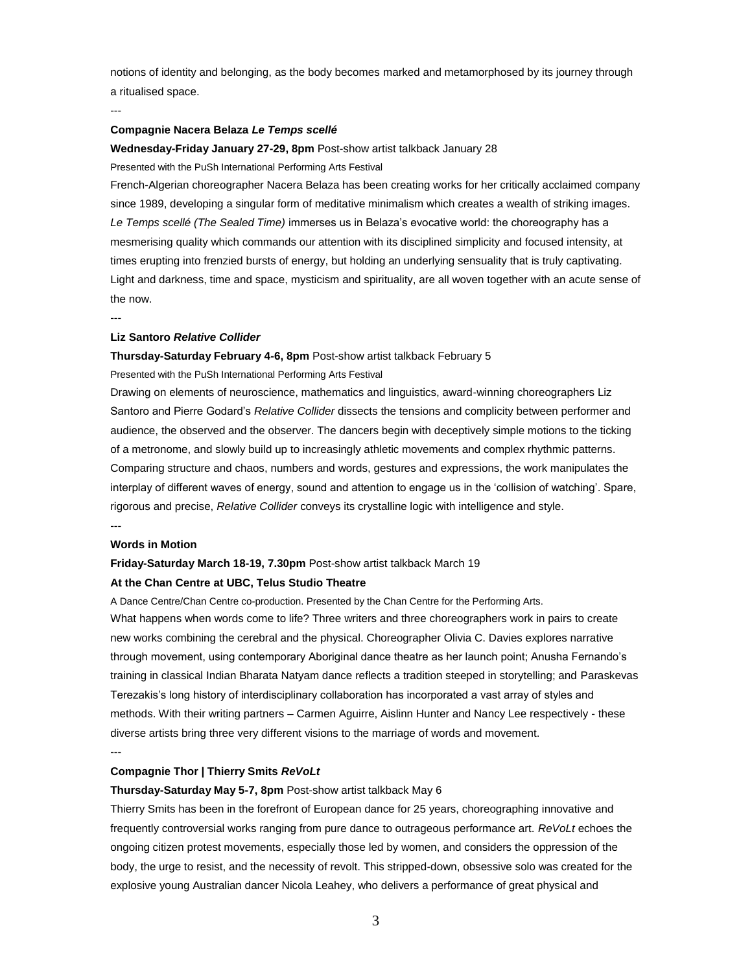notions of identity and belonging, as the body becomes marked and metamorphosed by its journey through a ritualised space.

---

# **Compagnie Nacera Belaza** *Le Temps scellé*

**Wednesday-Friday January 27-29, 8pm** Post-show artist talkback January 28 Presented with the PuSh International Performing Arts Festival

French-Algerian choreographer Nacera Belaza has been creating works for her critically acclaimed company since 1989, developing a singular form of meditative minimalism which creates a wealth of striking images. *Le Temps scellé (The Sealed Time)* immerses us in Belaza's evocative world: the choreography has a mesmerising quality which commands our attention with its disciplined simplicity and focused intensity, at times erupting into frenzied bursts of energy, but holding an underlying sensuality that is truly captivating. Light and darkness, time and space, mysticism and spirituality, are all woven together with an acute sense of the now.

---

## **Liz Santoro** *Relative Collider*

## **Thursday-Saturday February 4-6, 8pm** Post-show artist talkback February 5

Presented with the PuSh International Performing Arts Festival

Drawing on elements of neuroscience, mathematics and linguistics, award-winning choreographers Liz Santoro and Pierre Godard's *Relative Collider* dissects the tensions and complicity between performer and audience, the observed and the observer. The dancers begin with deceptively simple motions to the ticking of a metronome, and slowly build up to increasingly athletic movements and complex rhythmic patterns. Comparing structure and chaos, numbers and words, gestures and expressions, the work manipulates the interplay of different waves of energy, sound and attention to engage us in the 'collision of watching'. Spare, rigorous and precise, *Relative Collider* conveys its crystalline logic with intelligence and style.

# **Words in Motion**

---

# **Friday-Saturday March 18-19, 7.30pm** Post-show artist talkback March 19

## **At the Chan Centre at UBC, Telus Studio Theatre**

A Dance Centre/Chan Centre co-production. Presented by the Chan Centre for the Performing Arts. What happens when words come to life? Three writers and three choreographers work in pairs to create new works combining the cerebral and the physical. Choreographer Olivia C. Davies explores narrative through movement, using contemporary Aboriginal dance theatre as her launch point; Anusha Fernando's training in classical Indian Bharata Natyam dance reflects a tradition steeped in storytelling; and Paraskevas Terezakis's long history of interdisciplinary collaboration has incorporated a vast array of styles and methods. With their writing partners – Carmen Aguirre, Aislinn Hunter and Nancy Lee respectively - these diverse artists bring three very different visions to the marriage of words and movement.

#### ---

# **Compagnie Thor | Thierry Smits** *ReVoLt*

# **Thursday-Saturday May 5-7, 8pm** Post-show artist talkback May 6

Thierry Smits has been in the forefront of European dance for 25 years, choreographing innovative and frequently controversial works ranging from pure dance to outrageous performance art. *ReVoLt* echoes the ongoing citizen protest movements, especially those led by women, and considers the oppression of the body, the urge to resist, and the necessity of revolt. This stripped-down, obsessive solo was created for the explosive young Australian dancer Nicola Leahey, who delivers a performance of great physical and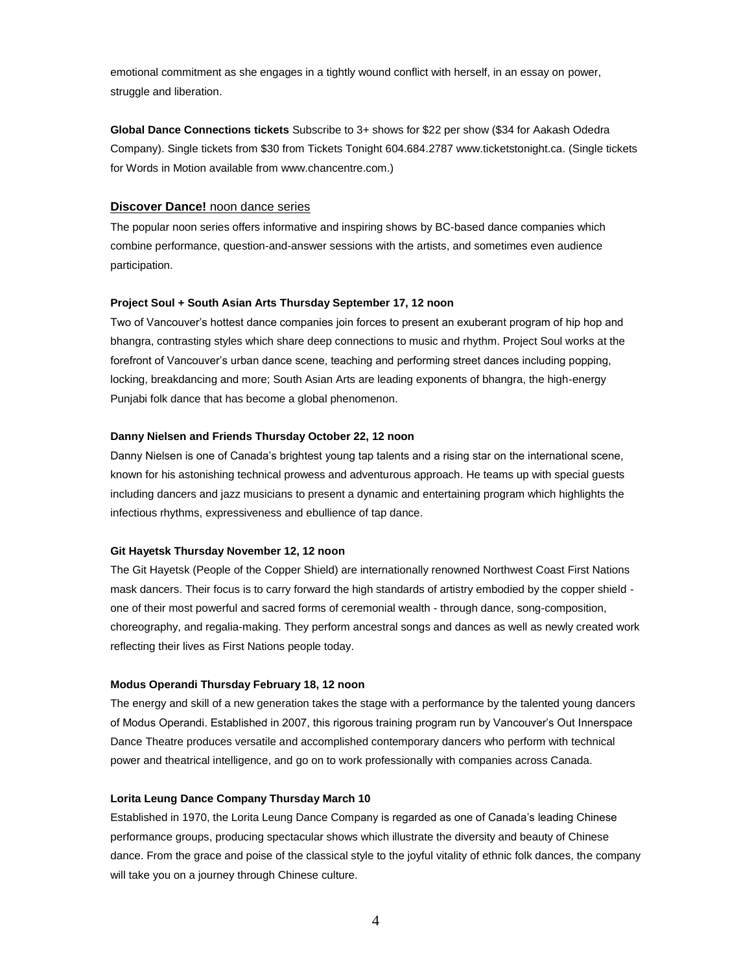emotional commitment as she engages in a tightly wound conflict with herself, in an essay on power, struggle and liberation.

**Global Dance Connections tickets** Subscribe to 3+ shows for \$22 per show (\$34 for Aakash Odedra Company). Single tickets from \$30 from Tickets Tonight 604.684.2787 www.ticketstonight.ca. (Single tickets for Words in Motion available from www.chancentre.com.)

# **Discover Dance!** noon dance series

The popular noon series offers informative and inspiring shows by BC-based dance companies which combine performance, question-and-answer sessions with the artists, and sometimes even audience participation.

## **Project Soul + South Asian Arts Thursday September 17, 12 noon**

Two of Vancouver's hottest dance companies join forces to present an exuberant program of hip hop and bhangra, contrasting styles which share deep connections to music and rhythm. Project Soul works at the forefront of Vancouver's urban dance scene, teaching and performing street dances including popping, locking, breakdancing and more; South Asian Arts are leading exponents of bhangra, the high-energy Punjabi folk dance that has become a global phenomenon.

### **Danny Nielsen and Friends Thursday October 22, 12 noon**

Danny Nielsen is one of Canada's brightest young tap talents and a rising star on the international scene, known for his astonishing technical prowess and adventurous approach. He teams up with special guests including dancers and jazz musicians to present a dynamic and entertaining program which highlights the infectious rhythms, expressiveness and ebullience of tap dance.

## **Git Hayetsk Thursday November 12, 12 noon**

The Git Hayetsk (People of the Copper Shield) are internationally renowned Northwest Coast First Nations mask dancers. Their focus is to carry forward the high standards of artistry embodied by the copper shield one of their most powerful and sacred forms of ceremonial wealth - through dance, song-composition, choreography, and regalia-making. They perform ancestral songs and dances as well as newly created work reflecting their lives as First Nations people today.

#### **Modus Operandi Thursday February 18, 12 noon**

The energy and skill of a new generation takes the stage with a performance by the talented young dancers of Modus Operandi. Established in 2007, this rigorous training program run by Vancouver's Out Innerspace Dance Theatre produces versatile and accomplished contemporary dancers who perform with technical power and theatrical intelligence, and go on to work professionally with companies across Canada.

### **Lorita Leung Dance Company Thursday March 10**

Established in 1970, the Lorita Leung Dance Company is regarded as one of Canada's leading Chinese performance groups, producing spectacular shows which illustrate the diversity and beauty of Chinese dance. From the grace and poise of the classical style to the joyful vitality of ethnic folk dances, the company will take you on a journey through Chinese culture.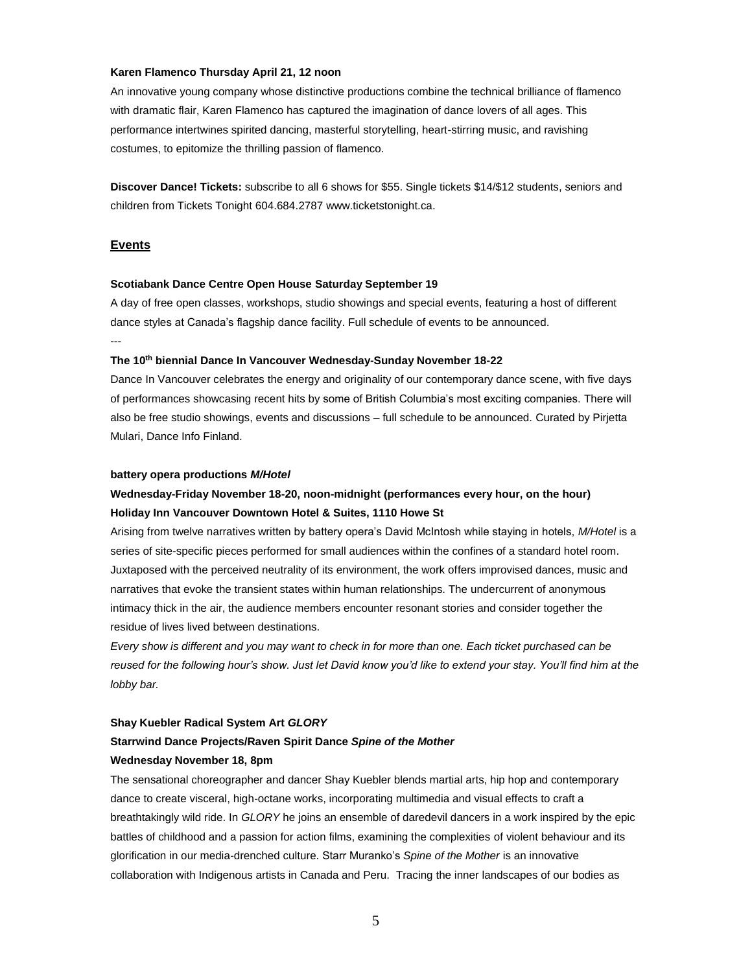### **Karen Flamenco Thursday April 21, 12 noon**

An innovative young company whose distinctive productions combine the technical brilliance of flamenco with dramatic flair, Karen Flamenco has captured the imagination of dance lovers of all ages. This performance intertwines spirited dancing, masterful storytelling, heart-stirring music, and ravishing costumes, to epitomize the thrilling passion of flamenco.

**Discover Dance! Tickets:** subscribe to all 6 shows for \$55. Single tickets \$14/\$12 students, seniors and children from Tickets Tonight 604.684.2787 www.ticketstonight.ca.

# **Events**

---

## **Scotiabank Dance Centre Open House Saturday September 19**

A day of free open classes, workshops, studio showings and special events, featuring a host of different dance styles at Canada's flagship dance facility. Full schedule of events to be announced.

#### **The 10th biennial Dance In Vancouver Wednesday-Sunday November 18-22**

Dance In Vancouver celebrates the energy and originality of our contemporary dance scene, with five days of performances showcasing recent hits by some of British Columbia's most exciting companies. There will also be free studio showings, events and discussions – full schedule to be announced. Curated by Pirjetta Mulari, Dance Info Finland.

#### **battery opera productions** *M/Hotel*

# **Wednesday-Friday November 18-20, noon-midnight (performances every hour, on the hour) Holiday Inn Vancouver Downtown Hotel & Suites, 1110 Howe St**

Arising from twelve narratives written by battery opera's David McIntosh while staying in hotels, *M/Hotel* is a series of site-specific pieces performed for small audiences within the confines of a standard hotel room. Juxtaposed with the perceived neutrality of its environment, the work offers improvised dances, music and narratives that evoke the transient states within human relationships. The undercurrent of anonymous intimacy thick in the air, the audience members encounter resonant stories and consider together the residue of lives lived between destinations.

*Every show is different and you may want to check in for more than one. Each ticket purchased can be*  reused for the following hour's show. Just let David know you'd like to extend your stay. You'll find him at the *lobby bar.*

### **Shay Kuebler Radical System Art** *GLORY*

# **Starrwind Dance Projects/Raven Spirit Dance** *Spine of the Mother*

# **Wednesday November 18, 8pm**

The sensational choreographer and dancer Shay Kuebler blends martial arts, hip hop and contemporary dance to create visceral, high-octane works, incorporating multimedia and visual effects to craft a breathtakingly wild ride. In *GLORY* he joins an ensemble of daredevil dancers in a work inspired by the epic battles of childhood and a passion for action films, examining the complexities of violent behaviour and its glorification in our media-drenched culture. Starr Muranko's *Spine of the Mother* is an innovative collaboration with Indigenous artists in Canada and Peru. Tracing the inner landscapes of our bodies as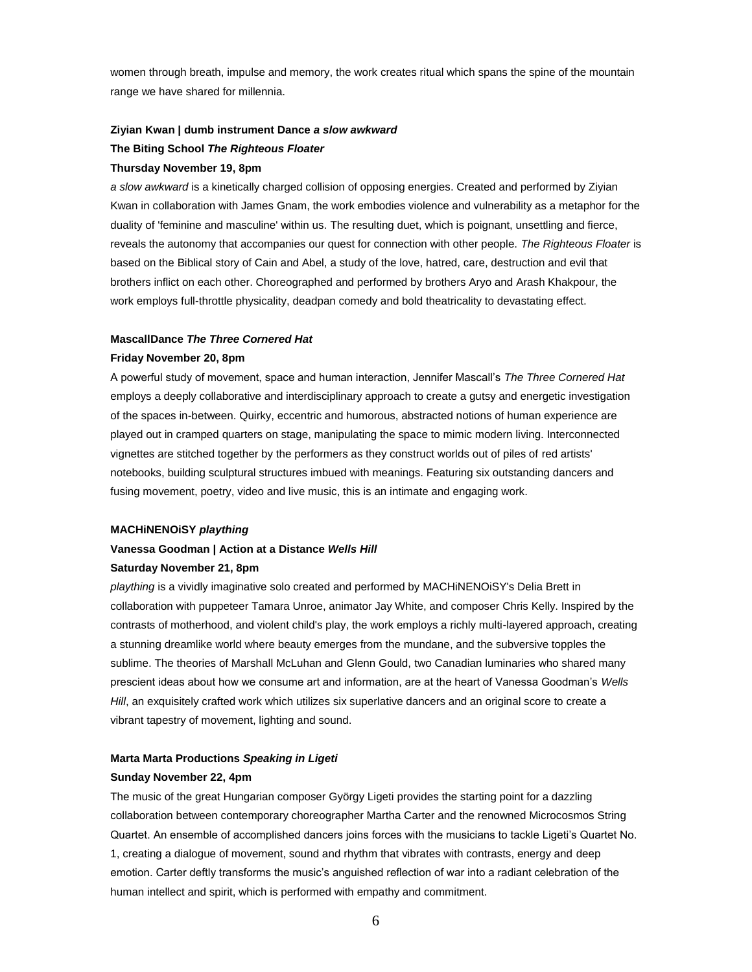women through breath, impulse and memory, the work creates ritual which spans the spine of the mountain range we have shared for millennia.

# **Ziyian Kwan | dumb instrument Dance** *a slow awkward* **The Biting School** *The Righteous Floater* **Thursday November 19, 8pm**

*a slow awkward* is a kinetically charged collision of opposing energies. Created and performed by Ziyian Kwan in collaboration with James Gnam, the work embodies violence and vulnerability as a metaphor for the duality of 'feminine and masculine' within us. The resulting duet, which is poignant, unsettling and fierce, reveals the autonomy that accompanies our quest for connection with other people. *The Righteous Floater* is based on the Biblical story of Cain and Abel, a study of the love, hatred, care, destruction and evil that brothers inflict on each other. Choreographed and performed by brothers Aryo and Arash Khakpour, the work employs full-throttle physicality, deadpan comedy and bold theatricality to devastating effect.

### **MascallDance** *The Three Cornered Hat*

### **Friday November 20, 8pm**

A powerful study of movement, space and human interaction, Jennifer Mascall's *The Three Cornered Hat* employs a deeply collaborative and interdisciplinary approach to create a gutsy and energetic investigation of the spaces in-between. Quirky, eccentric and humorous, abstracted notions of human experience are played out in cramped quarters on stage, manipulating the space to mimic modern living. Interconnected vignettes are stitched together by the performers as they construct worlds out of piles of red artists' notebooks, building sculptural structures imbued with meanings. Featuring six outstanding dancers and fusing movement, poetry, video and live music, this is an intimate and engaging work.

#### **MACHiNENOiSY** *plaything*

# **Vanessa Goodman | Action at a Distance** *Wells Hill* **Saturday November 21, 8pm**

# *plaything* is a vividly imaginative solo created and performed by MACHiNENOiSY's Delia Brett in collaboration with puppeteer Tamara Unroe, animator Jay White, and composer Chris Kelly. Inspired by the contrasts of motherhood, and violent child's play, the work employs a richly multi-layered approach, creating a stunning dreamlike world where beauty emerges from the mundane, and the subversive topples the sublime. The theories of Marshall McLuhan and Glenn Gould, two Canadian luminaries who shared many prescient ideas about how we consume art and information, are at the heart of Vanessa Goodman's *Wells Hill*, an exquisitely crafted work which utilizes six superlative dancers and an original score to create a vibrant tapestry of movement, lighting and sound.

### **Marta Marta Productions** *Speaking in Ligeti*

### **Sunday November 22, 4pm**

The music of the great Hungarian composer György Ligeti provides the starting point for a dazzling collaboration between contemporary choreographer Martha Carter and the renowned Microcosmos String Quartet. An ensemble of accomplished dancers joins forces with the musicians to tackle Ligeti's Quartet No. 1, creating a dialogue of movement, sound and rhythm that vibrates with contrasts, energy and deep emotion. Carter deftly transforms the music's anguished reflection of war into a radiant celebration of the human intellect and spirit, which is performed with empathy and commitment.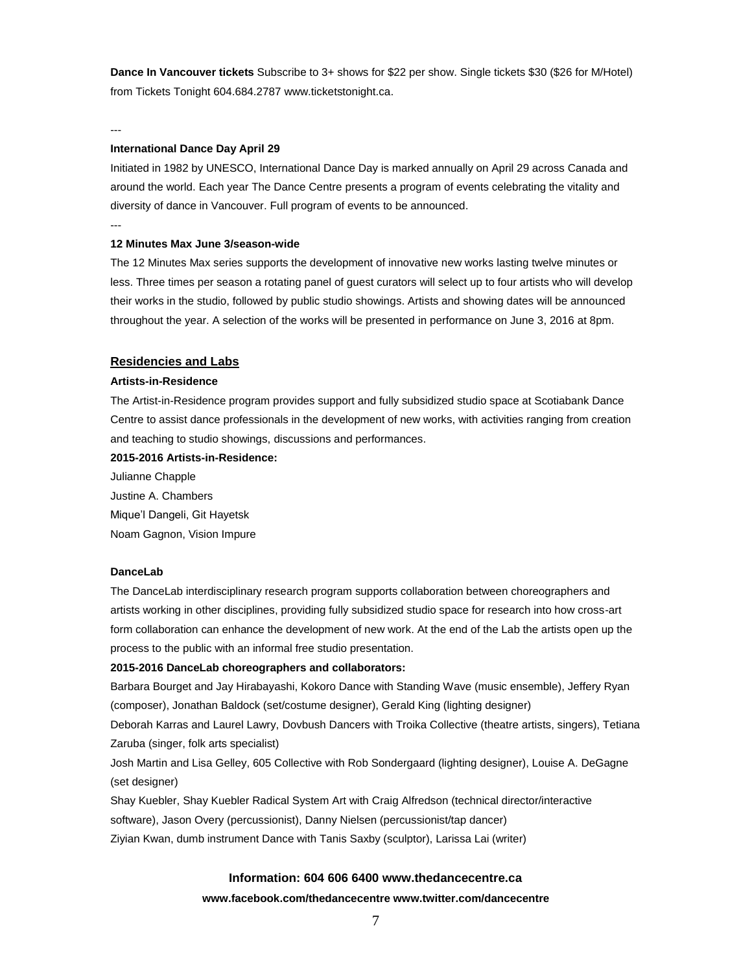**Dance In Vancouver tickets** Subscribe to 3+ shows for \$22 per show. Single tickets \$30 (\$26 for M/Hotel) from Tickets Tonight 604.684.2787 www.ticketstonight.ca.

---

# **International Dance Day April 29**

Initiated in 1982 by UNESCO, International Dance Day is marked annually on April 29 across Canada and around the world. Each year The Dance Centre presents a program of events celebrating the vitality and diversity of dance in Vancouver. Full program of events to be announced.

---

# **12 Minutes Max June 3/season-wide**

The 12 Minutes Max series supports the development of innovative new works lasting twelve minutes or less. Three times per season a rotating panel of guest curators will select up to four artists who will develop their works in the studio, followed by public studio showings. Artists and showing dates will be announced throughout the year. A selection of the works will be presented in performance on June 3, 2016 at 8pm.

# **Residencies and Labs**

## **Artists-in-Residence**

The Artist-in-Residence program provides support and fully subsidized studio space at Scotiabank Dance Centre to assist dance professionals in the development of new works, with activities ranging from creation and teaching to studio showings, discussions and performances.

# **2015-2016 Artists-in-Residence:**

Julianne Chapple Justine A. Chambers Mique'l Dangeli, Git Hayetsk Noam Gagnon, Vision Impure

# **DanceLab**

The DanceLab interdisciplinary research program supports collaboration between choreographers and artists working in other disciplines, providing fully subsidized studio space for research into how cross-art form collaboration can enhance the development of new work. At the end of the Lab the artists open up the process to the public with an informal free studio presentation.

# **2015-2016 DanceLab choreographers and collaborators:**

Barbara Bourget and Jay Hirabayashi, Kokoro Dance with Standing Wave (music ensemble), Jeffery Ryan (composer), Jonathan Baldock (set/costume designer), Gerald King (lighting designer)

Deborah Karras and Laurel Lawry, Dovbush Dancers with Troika Collective (theatre artists, singers), Tetiana Zaruba (singer, folk arts specialist)

Josh Martin and Lisa Gelley, 605 Collective with Rob Sondergaard (lighting designer), Louise A. DeGagne (set designer)

Shay Kuebler, Shay Kuebler Radical System Art with Craig Alfredson (technical director/interactive software), Jason Overy (percussionist), Danny Nielsen (percussionist/tap dancer) Ziyian Kwan, dumb instrument Dance with Tanis Saxby (sculptor), Larissa Lai (writer)

# **Information: 604 606 6400 www.thedancecentre.ca**

### **www.facebook.com/thedancecentre www.twitter.com/dancecentre**